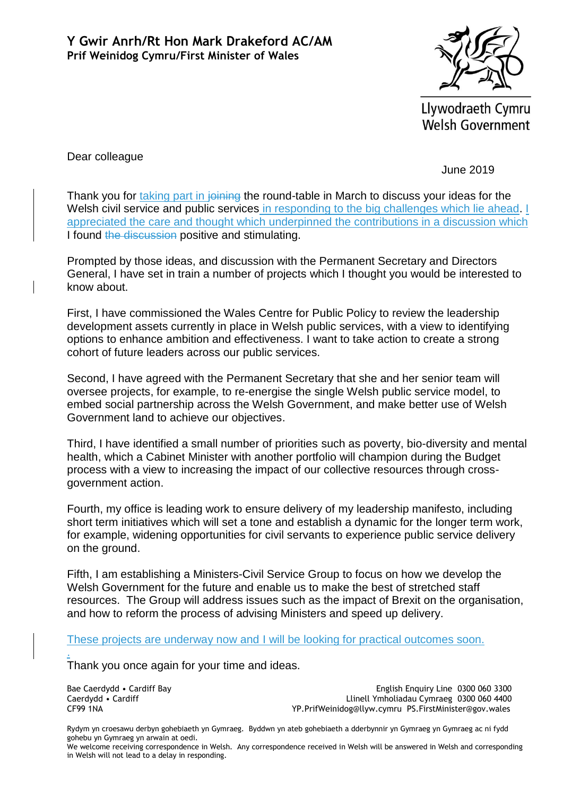

Llywodraeth Cymru **Welsh Government** 

Dear colleague

June 2019

Thank you for taking part in joining the round-table in March to discuss your ideas for the Welsh civil service and public services in responding to the big challenges which lie ahead. I appreciated the care and thought which underpinned the contributions in a discussion which I found the discussion positive and stimulating.

Prompted by those ideas, and discussion with the Permanent Secretary and Directors General, I have set in train a number of projects which I thought you would be interested to know about.

First, I have commissioned the Wales Centre for Public Policy to review the leadership development assets currently in place in Welsh public services, with a view to identifying options to enhance ambition and effectiveness. I want to take action to create a strong cohort of future leaders across our public services.

Second, I have agreed with the Permanent Secretary that she and her senior team will oversee projects, for example, to re-energise the single Welsh public service model, to embed social partnership across the Welsh Government, and make better use of Welsh Government land to achieve our objectives.

Third, I have identified a small number of priorities such as poverty, bio-diversity and mental health, which a Cabinet Minister with another portfolio will champion during the Budget process with a view to increasing the impact of our collective resources through crossgovernment action.

Fourth, my office is leading work to ensure delivery of my leadership manifesto, including short term initiatives which will set a tone and establish a dynamic for the longer term work, for example, widening opportunities for civil servants to experience public service delivery on the ground.

Fifth, I am establishing a Ministers-Civil Service Group to focus on how we develop the Welsh Government for the future and enable us to make the best of stretched staff resources. The Group will address issues such as the impact of Brexit on the organisation, and how to reform the process of advising Ministers and speed up delivery.

These projects are underway now and I will be looking for practical outcomes soon.

Thank you once again for your time and ideas.

Bae Caerdydd • Cardiff Bay Caerdydd • Cardiff CF99 1NA

.

English Enquiry Line 0300 060 3300 Llinell Ymholiadau Cymraeg 0300 060 4400 YP.PrifWeinidog@llyw.cymru PS.FirstMinister@gov.wales

Rydym yn croesawu derbyn gohebiaeth yn Gymraeg. Byddwn yn ateb gohebiaeth a dderbynnir yn Gymraeg yn Gymraeg ac ni fydd gohebu yn Gymraeg yn arwain at oedi.

We welcome receiving correspondence in Welsh. Any correspondence received in Welsh will be answered in Welsh and corresponding in Welsh will not lead to a delay in responding.